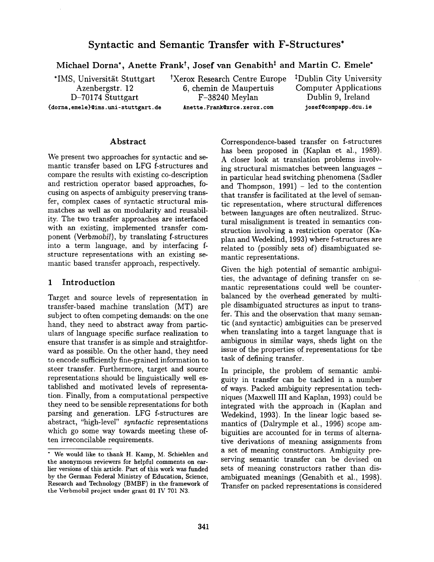# **Syntactic and Semantic Transfer with F-Structures\***

Michael Dorna\*, Anette Frank<sup>†</sup>, Josef van Genabith<sup>†</sup> and Martin C. Emele\*

\*IMS, Universität Stuttgart  $tXer$ ox Research Centre Europe  $tY$ Dublin City University (dorna, emele}@ims, uni-stuttgart, **de Anette.** Frank@xrce. xerox, com j osef%compapp, dcu. ie

Azenbergstr. 12 6, chemin de Maupertuis Computer Applications D-70174 Stuttgart F-38240 Meylan Dublin 9, Ireland

## Abstract

We present two approaches for syntactic and semantic transfer based on LFG f-structures and compare the results with existing co-description and restriction operator based approaches, focusing on aspects of ambiguity preserving transfer, complex cases of syntactic structural mismatches as well as on modularity and reusability. The two transfer approaches are interfaced with an existing, implemented transfer component *(Verbmobi1),* by translating f-structures into a term language, and by interfacing fstructure representations with an existing semantic based transfer approach, respectively.

# 1 Introduction

Target and source levels of representation in transfer-based machine translation (MT) are subject to often competing demands: on the one hand, they need to abstract away from particulars of language specific surface realization to ensure that transfer is as simple and straightforward as possible. On the other hand, they need to encode sufficiently fine-grained information to steer transfer. Furthermore, target and source representations should be linguistically well established and motivated levels of representation. Finally, from a computational perspective they need to be sensible representations for both parsing and generation. LFG f-structures are abstract, "high-level" *syntactic* representations which go some way towards meeting these often irreconcilable requirements.

Correspondence-based transfer on f-structures has been proposed in (Kaplan et al., 1989). A closer look at translation problems involving structural mismatches between languages in particular head switching phenomena (Sadler and Thompson, 1991) - led to the contention that transfer is facilitated at the level of semantic representation, where structural differences between languages are often neutralized. Structural misalignment is treated in semantics construction involving a restriction operator (Kaplan and Wedekind, 1993) where f-structures are related to (possibly sets of) disambiguated semantic representations.

Given the high potential of semantic ambiguities, the advantage of defining transfer on semantic representations could well be counterbalanced by the overhead generated by multiple disambiguated structures as input to transfer. This and the observation that many semantic (and syntactic) ambiguities can be preserved when translating into a target language that is ambiguous in similar ways, sheds light on the issue of the properties of representations for the task of defining transfer.

In principle, the problem of semantic ambiguity in transfer can be tackled in a number of ways. Packed ambiguity representation techniques (Maxwell III and Kaplan, 1993) could be integrated with the approach in (Kaplan and Wedekind, 1993). In the linear logic based semantics of (Dalrymple et al., 1996) scope ambiguities are accounted for in terms of alternative derivations of meaning assignments from a set of meaning constructors. Ambiguity preserving semantic transfer can be devised on sets of meaning constructors rather than disambiguated meanings (Genabith et al., 1998). Transfer on packed representations is considered

<sup>&</sup>quot; We would like to thank H. Kamp, M. Schiehlen and the anonymous reviewers for helpful comments on earlier versions of this article. Part of this work was funded by the German Federal Ministry of Education, Science, Research and Technology (BMBF) in the framework of the Verbmobil project under grant 01 IV 701 N3.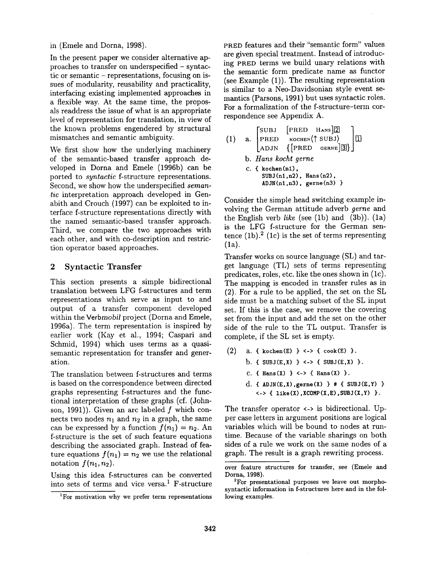in (Emele and Dorna, 1998).

In the present paper we consider alternative approaches to transfer on underspecified - syntactic or semantic - representations, focusing on issues of modularity, reusability and practicality, interfacing existing implemented approaches in a flexible way. At the same time, the proposals readdress the issue of what is an appropriate level of representation for translation, in view of the known problems engendered by structural mismatches and semantic ambiguity.

We first show how the underlying machinery of the semantic-based transfer approach developed in Dorna and Emele (1996b) can be ported to *syntactic* f-structure representations. Second, we show how the underspecified *semantic* interpretation approach developed in Genabith and Crouch (1997) can be exploited to interface f-structure representations directly with the named semantic-based transfer approach. Third, we compare the two approaches with each other, and with co-description and restriction operator based approaches.

## 2 Syntactic Transfer

This section presents a simple bidirectional translation between LFG f-structures and term representations which serve as input to and output of a transfer component developed within the *Verbmobil* project (Dorna and Emele, 1996a). The term representation is inspired by earlier work (Kay et al., 1994; Caspari and Schmid, 1994) which uses terms as a quasisemantic representation for transfer and generation.

The translation between f-structures and terms is based on the correspondence between directed graphs representing f-structures and the functional interpretation of these graphs (cf. (Johnson, 1991)). Given an arc labeled  $f$  which connects two nodes  $n_1$  and  $n_2$  in a graph, the same can be expressed by a function  $f(n_1) = n_2$ . An f-structure is the set of such feature equations describing the associated graph. Instead of feature equations  $f(n_1) = n_2$  we use the relational notation  $f(n_1, n_2)$ .

Using this idea f-structures can be converted into sets of terms and vice versa.<sup>1</sup> F-structure PRED features and their "semantic form" values are given special treatment. Instead of introducing PRED terms we build unary relations with the semantic form predicate name as functor (see Example (1)). The resulting representation is similar to a Neo-Davidsonian style event semantics (Parsons, 1991) but uses syntactic roles. For a formalization of the f-structure-term correspondence see Appendix A.

(1) a. 
$$
\begin{bmatrix} SUBJ & [PRED HANS]2] \\ PRED & \kappaochen(\uparrow SUBJ) \\ ADJN & \{[PRED GERNE]3]\} \end{bmatrix}
$$
  
b. Hans kocht gerne  
c. {kochen(n1),  
SUBJ(n1,n2), Hans(n2),  
ADJN(n1,n3), gerne(n3)}

Consider the simple head switching example involving the German attitude adverb *gerne* and the English verb *like* (see (lb) and (3b)). (la) is the LFG f-structure for the German sentence  $(1b)$ .<sup>2</sup> (1c) is the set of terms representing (la).

Transfer works on source language (SL) and target language (TL) sets of terms representing predicates, roles, etc. like the ones shown in (lc). The mapping is encoded in transfer rules as in (2). For a rule to be applied, the set on the SL side must be a matching subset of the SL input set. If this is the case, we remove the covering set from the input and add the set on the other side of the rule to the TL output. Transfer is complete, if the SL set is empty.

(2) a. {  $kochen(E)$  } <-> {  $cook(E)$  }. b. {  $SUBJ(E,X)$  } <-> {  $SUBJ(E,X)$  }. c. {  $Hans(X)$  } <-> {  $Hans(X)$  }. d. { ADJN(E,X),  $gerne(X)$  } # { SUBJ(E, Y) }  $\leftarrow$  { like(X), XCOMP(X, E), SUBJ(X, Y) }.

The transfer operator  $\leftarrow$  is bidirectional. Upper case letters in argument positions are logical variables which will be bound to nodes at runtime. Because of the variable sharings on both sides of a rule we work on the same nodes of a graph. The result is a graph rewriting process.

<sup>&</sup>lt;sup>1</sup>For motivation why we prefer term representations

over feature structures for transfer, see (Emele **and**  Dorna, 1998).

<sup>2</sup>For presentational purposes we leave out morphosyntactic information in f-structures here and in the following examples.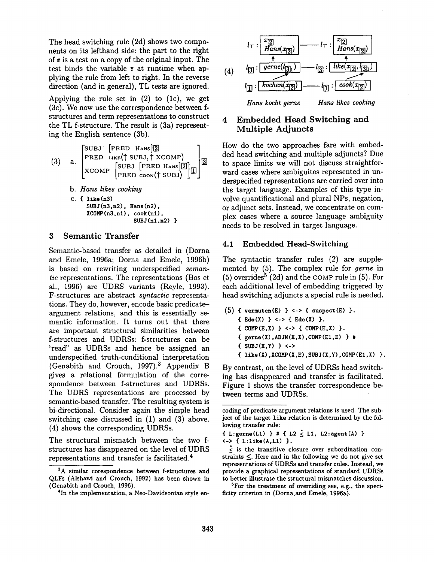The head switching rule (2d) shows two components on its lefthand side: the part to the right of # is a test on a copy of the original input. The test binds the variable Y at runtime when applying the rule from left to right. In the reverse direction (and in general), TL tests are ignored.

Applying the rule set in  $(2)$  to  $(1c)$ , we get (3c). We now use the correspondence between fstructures and term representations to construct the TL f-structure. The result is (3a) representing the English sentence (3b).

(3) a. 
$$
\begin{bmatrix} SUBJ & [PRED HANS]2] \\ PRED & LIKE(\uparrow SUBJ, \uparrow XCOMP) \\ XCOMP & [SUBJ [PRED HANS]2] \\ PRED cook(\uparrow SUBJ) \end{bmatrix}
$$
  
b. Hans likes cooking  
c. { like(n3)  
SUBJ(n3,n2), Hans(n2),  
XCOMP(n3,n1), cook(n1),  
SUBJ(n1,n2)}

# **3** Semantic Transfer

Semantic-based transfer as detailed in (Dorna and Emele, 1996a; Dorna and Emele, 1996b) is based on rewriting underspecified *semantic* representations. The representations (Bos et al., 1996) are UDRS variants (Reyle, 1993). F-structures are abstract *syntactic* representations. They do, however, encode basic predicateargument relations, and this is essentially semantic information. It turns out that there are important structural similarities between f-structures and UDRSs: f-structures can be "read" as UDRSs and hence be assigned an underspecified truth-conditional interpretation (Genabith and Crouch, 1997).<sup>3</sup> Appendix B gives a relational formulation of the correspondence between f-structures and UDRSs. The UDRS representations are processed by semantic-based transfer. The resulting system is bi-directional. Consider again the simple head switching case discussed in (1) and (3) above. (4) shows the corresponding UDRSs.

The structural mismatch between the two fstructures has disappeared on the level of UDRS representations and transfer is facilitated. 4



# 4 Embedded Head Switching **and**  Multiple Adjuncts

How do the two approaches fare with embedded head switching and multiple adjuncts? Due to space limits we will not discuss straightforward cases where ambiguites represented in underspecified representations are carried over into the target language. Examples of this type involve quantificational and plural NPs, negation, or adjunct sets. Instead, we concentrate on complex cases where a source language ambiguity needs to be resolved in target language.

## 4.1 Embedded Head-Switching

The syntactic transfer rules (2) are supplemented by (5). The complex rule for *gerne* in  $(5)$  overrides<sup>5</sup> (2d) and the COMP rule in  $(5)$ . For each additional level of embedding triggered by head switching adjuncts a special rule is needed.

(5) { vermuten(E) } <-> { suspect(E) }. { $Ede(X)$ } <-> { $Ede(X)$ }. {  $COMP(E,X)$  } <-> {  $COMP(E,X)$  }.  ${ \qquad \qquad \{ \text{ genre}(X), \text{ADJN}(E,X), \text{COMP}(E1,E) \}$  #  $\{ SUBJ(E,Y) \}$  <->  ${ \iota$  like(X), XCOMP(X, E), SUBJ(X, Y), COMP(E1, X)  $}.$ 

By contrast, on the level of UDRSs head switching has disappeared and transfer is facilitated. Figure 1 shows the transfer correspondence between terms and UDRSs.

5For the treatment of overriding see, e.g., the specificity criterion in (Dorna and Emele, 1996a).

<sup>&</sup>lt;sup>3</sup>A similar corespondence between f-structures and QLFs (Alshawi and Crouch, 1992) has been shown in (Genabith and Crouch, 1996).

<sup>&</sup>lt;sup>4</sup>In the implementation, a Neo-Davidsonian style en-

coding of predicate argument relations is used. The subject of the target like relation is determined by the following transfer rule:

<sup>{</sup> L:gerne(L1) } # { L2  $\leq$  L1, L2:agent(A) } <-> { L:like(A,L1) }.

 $\frac{1}{\leq}$  is the transitive closure over subordination constraints <. Here **and in the** following we do not give set representations of UDRSs and transfer rules. Instead, we provide a graphical representations of standard UDRSs to better illustrate the structural mismatches discussion.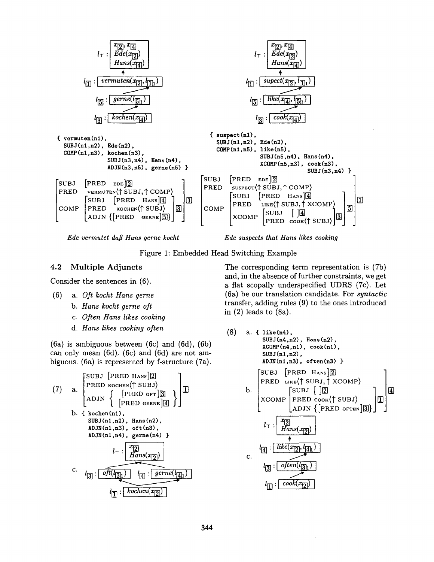



**Figure 1: Embedded Head Switching Example** 

## 4.2 Multiple Adjuncts

Consider the sentences in (6).

- (6) a. *Oft kocht Hans gerne* 
	- *b. Hans kocht gerne oft*
	- *c. Often Hans likes cooking*
	- *d. Hans likes cooking often*

(6a) is ambiguous between (6c) and (6d), (6b) can only mean (6d). (6c) and (6d) are not ambiguous. (6a) is represented by f-structure (7a).

(7) a. 
$$
\begin{bmatrix} SUBJ & [PRED HANS]2] \\ PRED\n \text{Kochen}(\uparrow SUBJ) \\ ADJN & [PRED \text{ of }]3] \\ (PRED \text{ of }]4DJN & [PRED \text{ of }]4] \end{bmatrix}
$$
 b. {kohen(n1),  
SUBJ(n1,n2), Hans(n2),  
ADJN(n1,n3), oft(n3),  
ADJN(n1,n4), genre(n4) }  

$$
l_{\top}: \begin{bmatrix} x_{[2]} \\ Hams(x_{[2]}) \end{bmatrix}
$$
c. 
$$
l_{[3]}: \begin{bmatrix} \overline{oft(l_{[3]1})} & l_{[4]} : \overline{gerne(l_{[4]1})} \\ \overline{lt} & \overline{Rose(n_{[2]})} \end{bmatrix}
$$

The corresponding term representation is (7b) and, in the absence of further constraints, we get a flat scopally underspecified UDRS (7c). Let (6a) be our translation candidate. For *syntactic*  transfer, adding rules (9) to the ones introduced in (2) leads to (8a).

(8) a. { like(n4),  
\nSUBJ(n4,n2), Hans(n2),  
\nXOMP(n4,n1), 
$$
cook(n1)
$$
,  
\nSUBJ(n1,n2),  
\nADJN(n1,n3),  $often(n3)$  }  
\nADJN(n1,n3),  $often(n3)$  }  
\n[SUBJ [PRED HANS]2]  
\nPRED LIKE(† SUBJ, † XCOMP)  
\nb. [SUBJ [2]  
\nXCOMP [PRED cook(† SUBJ)  
\nADJN {PRED orren][3]} ]]]  
\n $l_T : \underbrace{\begin{bmatrix} x_{[2]} \\ Hans(x_{[2]}\end{bmatrix}}_{\uparrow}$   
\n $l_{[4]} : \underbrace{\begin{bmatrix} like(x_{[2]}, l_{[4]1}) \\ \hline \end{bmatrix}}_{\uparrow}$   
\nc.  $l_{[3]} : \underbrace{\begin{bmatrix} often(l_{[3]1}) \\ \hline \end{bmatrix}}_{\uparrow}$   
\n $l_{[1]} : \underbrace{\begin{bmatrix} cobk(x_{[2]}) \\ \hline \end{bmatrix}}_{\uparrow}$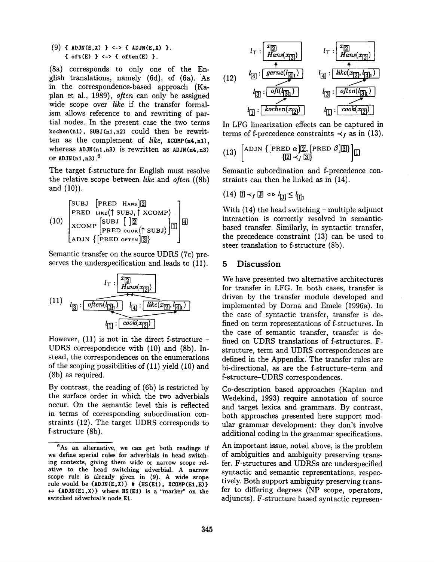(9)  $\{$  ADJN(E,X)  $\}$  <->  $\{$  ADJN(E,X)  $\}$ .  $\{$  oft $(E)$   $\}$  <->  $\{$  often $(E)$   $\}$ .

(8a) corresponds to only one of the English translations, namely (6d), of (6a). As in the correspondence-based approach (Haplan et al., 1989), *often* can only be assigned wide scope over *like* if the transfer formalism allows reference to and rewriting of partial nodes. In the present case the two terms  $kochen(n1)$ , SUBJ $(n1, n2)$  could then be rewritten as the complement of *like,* XCOMP(n4,nl), whereas  $ADJN(n1,n3)$  is rewritten as  $ADJN(n4,n3)$ or  $ADJN(n1, n3)$ .<sup>6</sup>

The target f-structure for English must resolve the relative scope between *like* and *often* ((8b) and (10)).

$$
(10)\begin{bmatrix} \text{SUBJ} & \text{[PRED HANS]} \boxed{2} \\ \text{PRED Like} & \text{SUBJ}, \uparrow \text{XCOMP} \\ \text{XCOMP} & \text{SUBJ} & \text{[} \boxed{2} \\ \text{RCD} & \text{PRED Cook} & \text{SUBJ} \end{bmatrix} \boxed{4} \\
$$

Semantic transfer on the source UDRS (7c) preserves the underspecification and leads to (11).

$$
(11)
$$
\n
$$
l_{\overline{3}} : \underbrace{\overbrace{\text{often}([3]_1)}^{l_{\overline{1}} : \overbrace{\text{like}(x_{\overline{12}]}, \{q_{\overline{1}}\})}}^{l_{\overline{1}} : \overbrace{\text{like}(x_{\overline{12}]}, \{q_{\overline{1}}\})}}^{l_{\overline{2}}}
$$

However,  $(11)$  is not in the direct f-structure – UDRS correspondence with (10) and (Sb). Instead, the correspondences on the enumerations of the scoping possibilities of (11) yield (10) and (8b) as required.

By contrast, the reading of (6b) is restricted by the surface order in which the two adverbials occur. On the semantic level this is reflected in terms of corresponding subordination constraints (12). The target UDRS corresponds to f-structure (Sb).



In LFG linearization effects can be captured in terms of f-precedence constraints  $\prec_f$  as in (13).

(13) 
$$
\begin{bmatrix} \text{ADJN} \{ \text{PRED } \alpha \} & \text{R} \\ \{ \mathbb{Z} \prec_f \mathbb{S} \} & \end{bmatrix}
$$

Semantic subordination and f-precedence constraints can then be linked as in (14).

$$
(14) \quad \boxed{\mathbb{I}} \prec_f \boxed{\mathbb{J}} \quad \text{and} \quad l_{\boxed{\mathbb{J}}} \leq l_{\boxed{\mathbb{I}}}
$$

With  $(14)$  the head switching – multiple adjunct interaction is correctly resolved in semanticbased transfer. Similarly, in syntactic transfer, the precedence constraint (13) can be used to steer translation to f-structure (8b).

#### **5 Discussion**

We have presented two alternative architectures for transfer in LFG. In both cases, transfer is driven by the transfer module developed and implemented by Dorna and Emele (1996a). In the case of syntactic transfer, transfer is defined on term representations of f-structures. In the case of semantic transfer, transfer is defined on UDRS translations of f-structures. Fstructure, term and UDRS correspondences are defined in the Appendix. The transfer rules are bi-directional, as are the f-structure-term and f-structure-UDRS correspondences.

Co-description based approaches (Kaplan and Wedekind, 1993) require annotation of source and target lexica and grammars. By contrast, both approaches presented here support modular grammar development: they don't involve additional coding in the grammar specifications.

An important issue, noted above, is the problem of ambiguities and ambiguity preserving transfer. F-structures and UDRSs are underspecified syntactic and semantic representations, respectively. Both support ambiguity preserving transfer to differing degrees (NP scope, operators, adjuncts). F-structure based syntactic represen-

 $6$ As an alternative, we can get both readings if we define special rules for adverbials in head switching contexts, giving them wide **or narrow** scope relative to the head switching adverbial. A narrow scope rule is already given in (9). A wide **scope**  rule would be  $\{ADJN(E,X)\}\# \{HS(E1), XCOMP(E1,E)\}\$  $\leftrightarrow$  {ADJN(E1,X)} where HS(E1) is a "marker" on the switched adverbial's node El.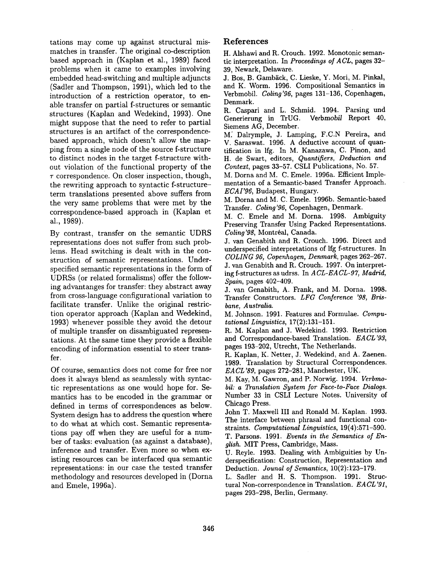tations may come up against structural mismatches in transfer. The original co-description based approach in (Kaplan et al., 1989) faced problems when it came to examples involving embedded head-switching and multiple adjuncts (Sadler and Thompson, 1991), which led to the introduction of a restriction operator, to enable transfer on partial f-structures or semantic structures (Kaplan and Wedekind, 1993). One might suppose that the need to refer to partial structures is an artifact of the correspondencebased approach, which doesn't allow the mapping from a single node of the source f-structure to distinct nodes in the target f-structure without violation of the functional property of the  $\tau$  correspondence. On closer inspection, though, the rewriting approach to syntactic f-structureterm translations presented above suffers from the very same problems that were met by the correspondence-based approach in (Kaplan et al., 1989).

By contrast, transfer on the semantic UDRS representations does not suffer from such problems. Head switching is dealt with in the construction of semantic representations. Underspecified semantic representations in the form of UDRSs (or related formalisms) offer the following advantanges for transfer: they abstract away from cross-language configurational variation to facilitate transfer. Unlike the original restriction operator approach (Kaplan and Wedekind, 1993) whenever possible they avoid the detour of multiple transfer on disambiguated representations. At the same time they provide a flexible encoding of information essential to steer transfer.

Of course, semantics does not come for free nor does it always blend as seamlessly with syntactic representations as one would hope for. Semantics has to be encoded in the grammar or defined in terms of correspondences as below. System design has to address the question where to do what at which cost. Semantic representations pay off when they are useful for a number of tasks: evaluation (as against a database), inference and transfer. Even more so when existing resources can be interfaced qua semantic representations: in our case the tested transfer methodology and resources developed in (Dorna and Emele, 1996a).

# References

H. Alshawi and R. Crouch. 1992. Monotonic semantic interpretation. In *Proceedings of A CL,* pages 32- 39, Newark, Delaware.

J. Bos, B. Gambäck, C. Lieske, Y. Mori, M. Pinkal, and K. Worm. 1996. Compositional Semantics in Verbmobil. *Coling'96,* pages 131-136, Copenhagen, Denmark.

R. Caspari and L. Schmid. 1994. Parsing und Generierung in TrUG. *Verbmobil* Report 40, Siemens AG, December.

M: Dalrymple, J. Lamping, F.C.N Pereira, and V. Saraswat. 1996. A deductive account of quantification in lfg. In M. Kanazawa, C. Pinon, and H. de Swart, editors, *Quantifiers, Deduction and Context,* pages 33-57. CSLI Publications, No. 57.

M. Dorna and M. C. Emele. 1996a. Efficient Implementation of a Semantic-based Transfer Approach. *ECAI'96,* Budapest, Hungary.

M. Dorna and M. C. Emele. 1996b. Semantic-based Transfer. *Coling'96,* Copenhagen, Denmark.

M. C. Emele and M. Dorna. 1998. Ambiguity Preserving Transfer Using Packed Representations. Coling'98, Montréal, Canada.

J. van Genabith and R. Crouch. 1996. Direct and underspecified interpretations of lfg f-structures. In *COLING 96, Copenhagen, Denmark,* pages 262-267. J. van Genabith and R. Crouch. 1997. On interpreting f-structures as udrss. In *ACL-EACL-97, Madrid, Spain,* pages 402-409.

J. van Genabith, A. Frank, and M. Dorna. 1998. Transfer Constructors. *LFG Conference '98, Brisbane, Australia.* 

M. Johnson. 1991. Features and Formulae. *Computational Linguistics,* 17(2):131-151.

R. M. Kaplan and J. Wedekind. 1993. Restriction and Correspondance-based Translation. *EACL'93,*  pages 193-202, Utrecht, The Netherlands.

R. Kaplan, K. Netter, J. Wedekind, and A. Zaenen. 1989. Translation by Structural Correspondences. *EACL'8g,* pages 272-281, Manchester, UK.

M. Kay, M. Gawron, and P. Norwig. 1994. *Verbmobil: a Translation System for Face-to-Face Dialogs.*  Number 33 in CSLI Lecture Notes. University of Chicago Press.

John T. Maxwell III and Ronald M. Kaplan. 1993. The interface between phrasal and functional constraints. *Computational Linguistics,* 19(4):571-590. T. Parsons. 1991. *Events in the Semantics of En-*

*glish.* MIT Press, Cambridge, Mass.

U. Reyle. 1993. Dealing with Ambiguities by Underspecification: Construction, Representation and Deduction. *Jounal of Semantics,* 10(2):123-179.

L. Sadler and H. S. Thompson. 1991. Structural Non-correspondence in Translation. *EACL'91,*  pages 293-298, Berlin, Germany.